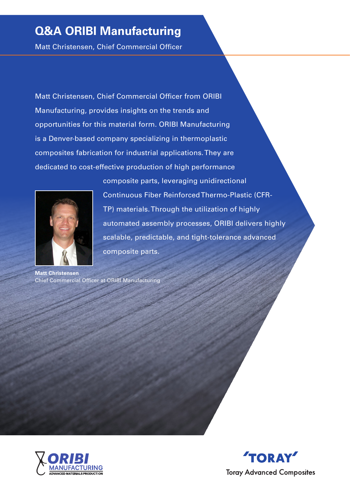# **Q&A ORIBI Manufacturing**

Matt Christensen, Chief Commercial Officer

Matt Christensen, Chief Commercial Officer from ORIBI Manufacturing, provides insights on the trends and opportunities for this material form. ORIBI Manufacturing is a Denver-based company specializing in thermoplastic composites fabrication for industrial applications. They are dedicated to cost-effective production of high performance



composite parts, leveraging unidirectional Continuous Fiber Reinforced Thermo-Plastic (CFR-TP) materials. Through the utilization of highly automated assembly processes, ORIBI delivers highly scalable, predictable, and tight-tolerance advanced composite parts.

**Matt Christensen** Chief Commercial Officer at ORIBI Manufacturing



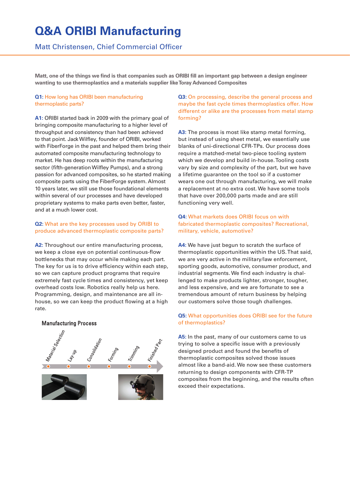# **Q&A ORIBI Manufacturing**

## Matt Christensen, Chief Commercial Officer

**Matt, one of the things we find is that companies such as ORIBI fill an important gap between a design engineer wanting to use thermoplastics and a materials supplier like Toray Advanced Composites**

### **Q1:** How long has ORIBI been manufacturing thermoplastic parts?

**A1:** ORIBI started back in 2009 with the primary goal of bringing composite manufacturing to a higher level of throughput and consistency than had been achieved to that point. Jack Wilfley, founder of ORIBI, worked with FiberForge in the past and helped them bring their automated composite manufacturing technology to market. He has deep roots within the manufacturing sector (fifth-generation Wilfley Pumps), and a strong passion for advanced composites, so he started making composite parts using the FiberForge system. Almost 10 years later, we still use those foundational elements within several of our processes and have developed proprietary systems to make parts even better, faster, and at a much lower cost.

### **Q2:** What are the key processes used by ORIBI to produce advanced thermoplastic composite parts?

**A2:** Throughout our entire manufacturing process, we keep a close eye on potential continuous-flow bottlenecks that may occur while making each part. The key for us is to drive efficiency within each step, so we can capture product programs that require extremely fast cycle times and consistency, yet keep overhead costs low. Robotics really help us here. Programming, design, and maintenance are all inhouse, so we can keep the product flowing at a high rate.

# Trimmino

**Manufacturing Process** 

### **Q3:** On processing, describe the general process and maybe the fast cycle times thermoplastics offer. How different or alike are the processes from metal stamp forming?

**A3:** The process is most like stamp metal forming, but instead of using sheet metal, we essentially use blanks of uni-directional CFR-TPs. Our process does require a matched-metal two-piece tooling system which we develop and build in-house. Tooling costs vary by size and complexity of the part, but we have a lifetime guarantee on the tool so if a customer wears one out through manufacturing, we will make a replacement at no extra cost. We have some tools that have over 200,000 parts made and are still functioning very well.

### **Q4:** What markets does ORIBI focus on with fabricated thermoplastic composites? Recreational, military, vehicle, automotive?

**A4:** We have just begun to scratch the surface of thermoplastic opportunities within the US. That said, we are very active in the military/law enforcement, sporting goods, automotive, consumer product, and industrial segments. We find each industry is challenged to make products lighter, stronger, tougher, and less expensive, and we are fortunate to see a tremendous amount of return business by helping our customers solve those tough challenges.

### **Q5:** What opportunities does ORIBI see for the future of thermoplastics?

**A5:** In the past, many of our customers came to us trying to solve a specific issue with a previously designed product and found the benefits of thermoplastic composites solved those issues almost like a band-aid. We now see these customers returning to design components with CFR-TP composites from the beginning, and the results often exceed their expectations.